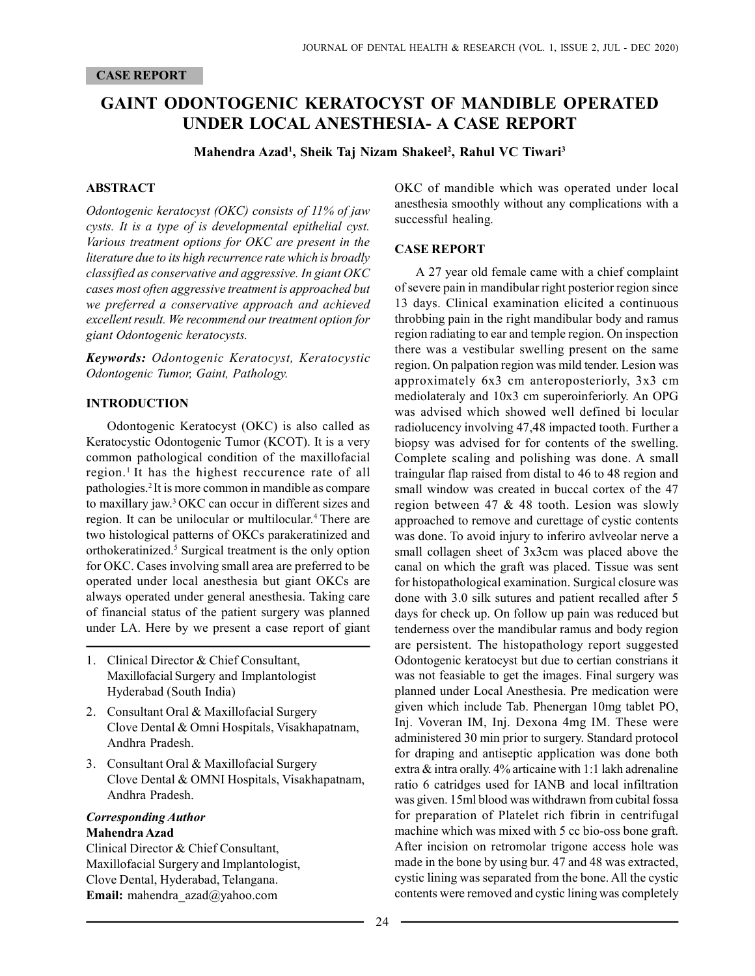# GAINT ODONTOGENIC KERATOCYST OF MANDIBLE OPERATED UNDER LOCAL ANESTHESIA- A CASE REPORT

Mahendra Azad<sup>1</sup>, Sheik Taj Nizam Shakeel<sup>2</sup>, Rahul VC Tiwari<sup>3</sup>

#### ABSTRACT

Odontogenic keratocyst (OKC) consists of 11% of jaw cysts. It is a type of is developmental epithelial cyst. Various treatment options for OKC are present in the literature due to its high recurrence rate which is broadly classified as conservative and aggressive. In giant OKC cases most often aggressive treatment is approached but we preferred a conservative approach and achieved excellent result. We recommend our treatment option for giant Odontogenic keratocysts.

Keywords: Odontogenic Keratocyst, Keratocystic Odontogenic Tumor, Gaint, Pathology.

#### INTRODUCTION

Odontogenic Keratocyst (OKC) is also called as Keratocystic Odontogenic Tumor (KCOT). It is a very common pathological condition of the maxillofacial region.<sup>1</sup> It has the highest reccurence rate of all pathologies.<sup>2</sup>It is more common in mandible as compare to maxillary jaw.<sup>3</sup>OKC can occur in different sizes and region. It can be unilocular or multilocular.<sup>4</sup> There are two histological patterns of OKCs parakeratinized and orthokeratinized.<sup>5</sup> Surgical treatment is the only option for OKC. Cases involving small area are preferred to be operated under local anesthesia but giant OKCs are always operated under general anesthesia. Taking care of financial status of the patient surgery was planned under LA. Here by we present a case report of giant

- 1. Clinical Director & Chief Consultant, Maxillofacial Surgery and Implantologist Hyderabad (South India)
- 2. Consultant Oral & Maxillofacial Surgery Clove Dental & Omni Hospitals, Visakhapatnam, Andhra Pradesh.
- 3. Consultant Oral & Maxillofacial Surgery Clove Dental & OMNI Hospitals, Visakhapatnam, Andhra Pradesh.

#### Corresponding Author Mahendra Azad

Clinical Director & Chief Consultant, Maxillofacial Surgery and Implantologist, Clove Dental, Hyderabad, Telangana. Email: mahendra\_azad@yahoo.com

OKC of mandible which was operated under local anesthesia smoothly without any complications with a successful healing.

#### CASE REPORT

A 27 year old female came with a chief complaint of severe pain in mandibular right posterior region since 13 days. Clinical examination elicited a continuous throbbing pain in the right mandibular body and ramus region radiating to ear and temple region. On inspection there was a vestibular swelling present on the same region. On palpation region was mild tender. Lesion was approximately 6x3 cm anteroposteriorly, 3x3 cm mediolateraly and 10x3 cm superoinferiorly. An OPG was advised which showed well defined bi locular radiolucency involving 47,48 impacted tooth. Further a biopsy was advised for for contents of the swelling. Complete scaling and polishing was done. A small traingular flap raised from distal to 46 to 48 region and small window was created in buccal cortex of the 47 region between 47 & 48 tooth. Lesion was slowly approached to remove and curettage of cystic contents was done. To avoid injury to inferiro avlveolar nerve a small collagen sheet of 3x3cm was placed above the canal on which the graft was placed. Tissue was sent for histopathological examination. Surgical closure was done with 3.0 silk sutures and patient recalled after 5 days for check up. On follow up pain was reduced but tenderness over the mandibular ramus and body region are persistent. The histopathology report suggested Odontogenic keratocyst but due to certian constrians it was not feasiable to get the images. Final surgery was planned under Local Anesthesia. Pre medication were given which include Tab. Phenergan 10mg tablet PO, Inj. Voveran IM, Inj. Dexona 4mg IM. These were administered 30 min prior to surgery. Standard protocol for draping and antiseptic application was done both extra & intra orally. 4% articaine with 1:1 lakh adrenaline ratio 6 catridges used for IANB and local infiltration was given. 15ml blood was withdrawn from cubital fossa for preparation of Platelet rich fibrin in centrifugal machine which was mixed with 5 cc bio-oss bone graft. After incision on retromolar trigone access hole was made in the bone by using bur. 47 and 48 was extracted, cystic lining was separated from the bone. All the cystic contents were removed and cystic lining was completely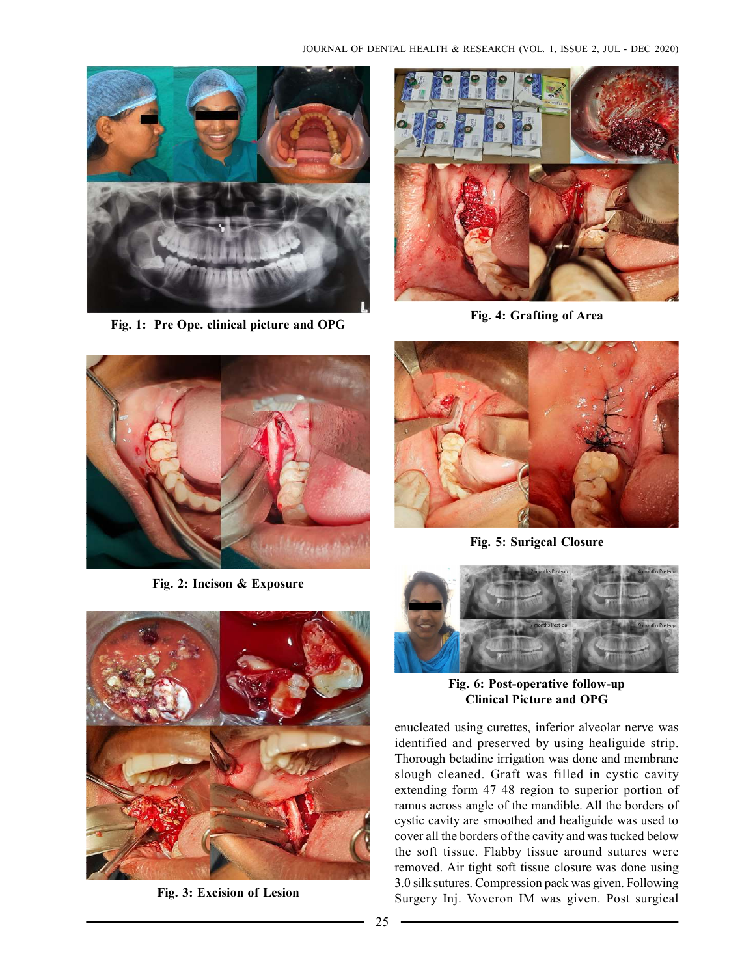

Fig. 1: Pre Ope. clinical picture and OPG



Fig. 4: Grafting of Area



Fig. 2: Incison & Exposure



Fig. 3: Excision of Lesion



Fig. 5: Surigcal Closure



Fig. 6: Post-operative follow-up Clinical Picture and OPG

enucleated using curettes, inferior alveolar nerve was identified and preserved by using healiguide strip. Thorough betadine irrigation was done and membrane slough cleaned. Graft was filled in cystic cavity extending form 47 48 region to superior portion of ramus across angle of the mandible. All the borders of cystic cavity are smoothed and healiguide was used to cover all the borders of the cavity and was tucked below the soft tissue. Flabby tissue around sutures were removed. Air tight soft tissue closure was done using 3.0 silk sutures. Compression pack was given. Following Surgery Inj. Voveron IM was given. Post surgical